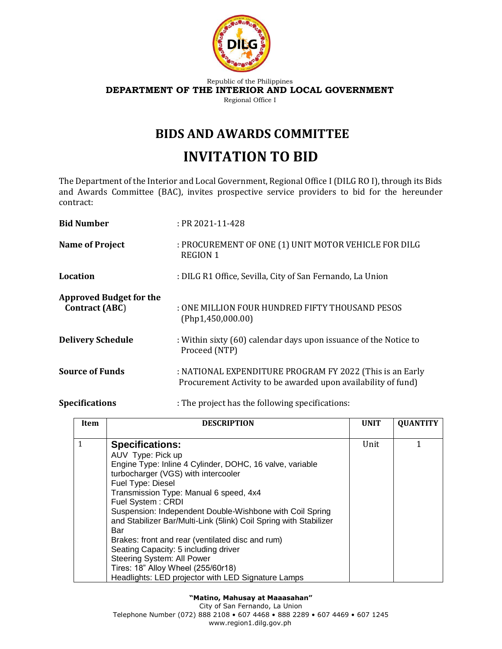

### Republic of the Philippines **DEPARTMENT OF THE INTERIOR AND LOCAL GOVERNMENT** Regional Office I

## **BIDS AND AWARDS COMMITTEE**

# **INVITATION TO BID**

The Department of the Interior and Local Government, Regional Office I (DILG RO I), through its Bids and Awards Committee (BAC), invites prospective service providers to bid for the hereunder contract:

| <b>Bid Number</b>                                       | $:$ PR 2021-11-428                                                                                                        |
|---------------------------------------------------------|---------------------------------------------------------------------------------------------------------------------------|
| <b>Name of Project</b>                                  | : PROCUREMENT OF ONE (1) UNIT MOTOR VEHICLE FOR DILG<br><b>REGION 1</b>                                                   |
| Location                                                | : DILG R1 Office, Sevilla, City of San Fernando, La Union                                                                 |
| <b>Approved Budget for the</b><br><b>Contract (ABC)</b> | : ONE MILLION FOUR HUNDRED FIFTY THOUSAND PESOS<br>(Php1, 450, 000.00)                                                    |
| <b>Delivery Schedule</b>                                | : Within sixty (60) calendar days upon issuance of the Notice to<br>Proceed (NTP)                                         |
| <b>Source of Funds</b>                                  | : NATIONAL EXPENDITURE PROGRAM FY 2022 (This is an Early<br>Procurement Activity to be awarded upon availability of fund) |

## **Specifications** : The project has the following specifications:

| Item | <b>DESCRIPTION</b>                                                | <b>UNIT</b> | <b>QUANTITY</b> |
|------|-------------------------------------------------------------------|-------------|-----------------|
|      |                                                                   |             |                 |
| 1    | <b>Specifications:</b>                                            | Unit        | 1               |
|      | AUV Type: Pick up                                                 |             |                 |
|      | Engine Type: Inline 4 Cylinder, DOHC, 16 valve, variable          |             |                 |
|      | turbocharger (VGS) with intercooler                               |             |                 |
|      | Fuel Type: Diesel                                                 |             |                 |
|      | Transmission Type: Manual 6 speed, 4x4                            |             |                 |
|      | Fuel System: CRDI                                                 |             |                 |
|      | Suspension: Independent Double-Wishbone with Coil Spring          |             |                 |
|      | and Stabilizer Bar/Multi-Link (5link) Coil Spring with Stabilizer |             |                 |
|      | Bar                                                               |             |                 |
|      | Brakes: front and rear (ventilated disc and rum)                  |             |                 |
|      | Seating Capacity: 5 including driver                              |             |                 |
|      | Steering System: All Power                                        |             |                 |
|      | Tires: 18" Alloy Wheel (255/60r18)                                |             |                 |
|      | Headlights: LED projector with LED Signature Lamps                |             |                 |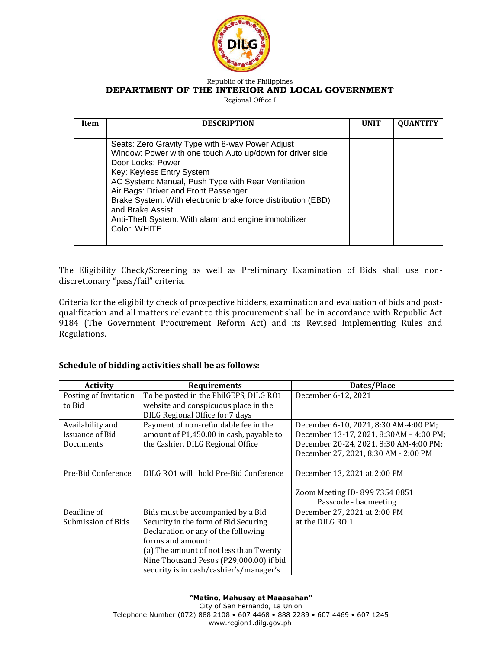

#### Republic of the Philippines **DEPARTMENT OF THE INTERIOR AND LOCAL GOVERNMENT**

Regional Office I

| Item | <b>DESCRIPTION</b>                                                                                                                                                                                                                                                                                                                                                                                                        | <b>UNIT</b> | <b>QUANTITY</b> |
|------|---------------------------------------------------------------------------------------------------------------------------------------------------------------------------------------------------------------------------------------------------------------------------------------------------------------------------------------------------------------------------------------------------------------------------|-------------|-----------------|
|      | Seats: Zero Gravity Type with 8-way Power Adjust<br>Window: Power with one touch Auto up/down for driver side<br>Door Locks: Power<br>Key: Keyless Entry System<br>AC System: Manual, Push Type with Rear Ventilation<br>Air Bags: Driver and Front Passenger<br>Brake System: With electronic brake force distribution (EBD)<br>and Brake Assist<br>Anti-Theft System: With alarm and engine immobilizer<br>Color: WHITE |             |                 |

The Eligibility Check/Screening as well as Preliminary Examination of Bids shall use nondiscretionary "pass/fail" criteria.

Criteria for the eligibility check of prospective bidders, examination and evaluation of bids and postqualification and all matters relevant to this procurement shall be in accordance with Republic Act 9184 (The Government Procurement Reform Act) and its Revised Implementing Rules and Regulations.

## **Schedule of bidding activities shall be as follows:**

| <b>Activity</b>       | <b>Requirements</b>                     | Dates/Place                             |
|-----------------------|-----------------------------------------|-----------------------------------------|
| Posting of Invitation | To be posted in the PhilGEPS, DILG RO1  | December 6-12, 2021                     |
| to Bid                | website and conspicuous place in the    |                                         |
|                       | DILG Regional Office for 7 days         |                                         |
| Availability and      | Payment of non-refundable fee in the    | December 6-10, 2021, 8:30 AM-4:00 PM;   |
| Issuance of Bid       | amount of P1,450.00 in cash, payable to | December 13-17, 2021, 8:30AM - 4:00 PM; |
| Documents             | the Cashier, DILG Regional Office       | December 20-24, 2021, 8:30 AM-4:00 PM;  |
|                       |                                         | December 27, 2021, 8:30 AM - 2:00 PM    |
|                       |                                         |                                         |
| Pre-Bid Conference    | DILG RO1 will hold Pre-Bid Conference   | December 13, 2021 at 2:00 PM            |
|                       |                                         |                                         |
|                       |                                         | Zoom Meeting ID-899 7354 0851           |
|                       |                                         | Passcode - bacmeeting                   |
| Deadline of           | Bids must be accompanied by a Bid       | December 27, 2021 at 2:00 PM            |
| Submission of Bids    | Security in the form of Bid Securing    | at the DILG RO 1                        |
|                       | Declaration or any of the following     |                                         |
|                       | forms and amount:                       |                                         |
|                       | (a) The amount of not less than Twenty  |                                         |
|                       | Nine Thousand Pesos (P29,000.00) if bid |                                         |
|                       | security is in cash/cashier's/manager's |                                         |